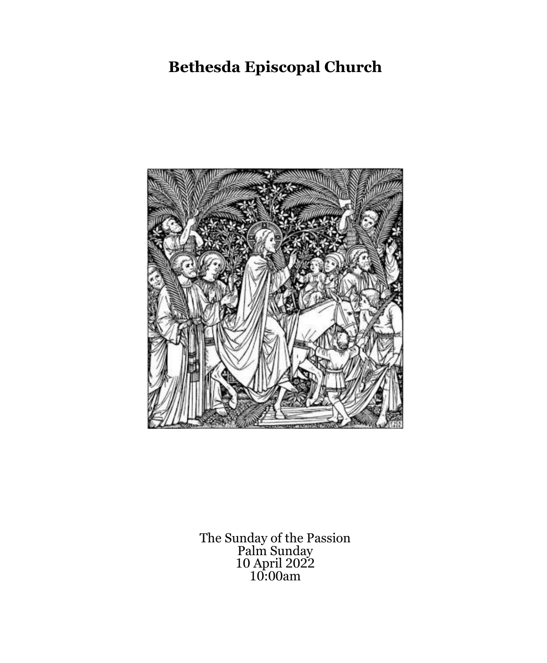# **Bethesda Episcopal Church**



The Sunday of the Passion Palm Sunday 10 April 2022 10:00am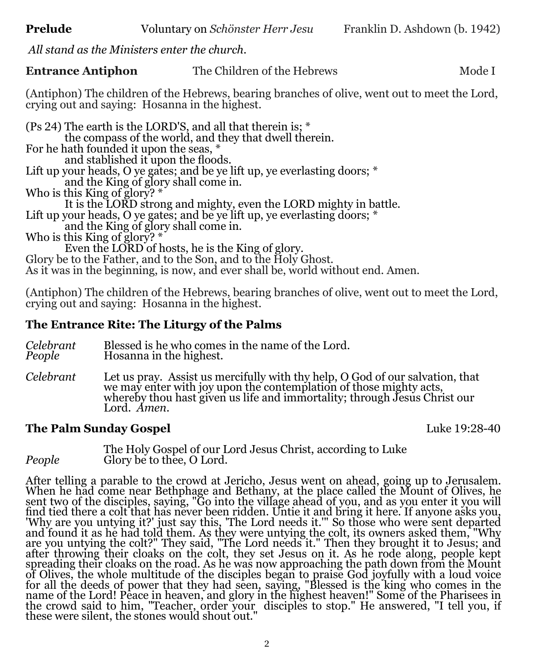*All stand as the Ministers enter the church.* 

| <b>Entrance Antiphon</b>                                                                                                                                                                                                                                                                                                     | The Children of the Hebrews | Mode I |
|------------------------------------------------------------------------------------------------------------------------------------------------------------------------------------------------------------------------------------------------------------------------------------------------------------------------------|-----------------------------|--------|
| (Antiphon) The children of the Hebrews, bearing branches of olive, went out to meet the Lord,<br>crying out and saying: Hosanna in the highest.                                                                                                                                                                              |                             |        |
| (Ps 24) The earth is the LORD'S, and all that therein is; *<br>the compass of the world, and they that dwell therein.<br>For he hath founded it upon the seas, *<br>and stablished it upon the floods.<br>Lift up your heads, O ye gates; and be ye lift up, ye everlasting doors; *<br>and the King of glory shall come in. |                             |        |
| Who is this King of glory? $*$<br>It is the LORD strong and mighty, even the LORD mighty in battle.<br>Lift up your heads, O ye gates; and be ye lift up, ye everlasting doors; *<br>and the King of glory shall come in.<br>Who is this King of glory? $*$                                                                  |                             |        |
| Even the LORD of hosts, he is the King of glory.<br>Glory be to the Father, and to the Son, and to the Holy Ghost.<br>As it was in the beginning, is now, and ever shall be, world without end. Amen.                                                                                                                        |                             |        |
| (Aptiphan) The children of the Uchrows begins brenches of olive went out to meet the Lord                                                                                                                                                                                                                                    |                             |        |

(Antiphon) The children of the Hebrews, bearing branches of olive, went out to meet the Lord, crying out and saying: Hosanna in the highest.

# **The Entrance Rite: The Liturgy of the Palms**

| Celebrant | Blessed is he who comes in the name of the Lord. |
|-----------|--------------------------------------------------|
| People    | Hosanna in the highest.                          |

*Celebrant* Let us pray. Assist us mercifully with thy help, O God of our salvation, that we may enter with joy upon the contemplation of those mighty acts, whereby thou hast given us life and immortality; through Jesus Christ our Lord. *Amen*.

### **The Palm Sunday Gospel Community 19:28-40**

The Holy Gospel of our Lord Jesus Christ, according to Luke *People* Glory be to thee, O Lord.

After telling a parable to the crowd at Jericho, Jesus went on ahead, going up to Jerusalem. When he had come near Bethphage and Bethany, at the place called the Mount of Olives, he sent two of the disciples, saying, "Go into the village ahead of you, and as you enter it you will find tied there a colt that has never been ridden. Untie it and bring it here. If anyone asks you, 'Why are you untying it?' just say this, 'The Lord needs it.'" So those who were sent departed and found it as he had told them. As they were untying the colt, its owners asked them, "Why are you untying the colt?" They said, "The Lord needs it." Then they brought it to Jesus; and after throwing their cloaks on the colt, they set Jesus on it. As he rode along, people kept spreading their cloaks on the road. As he was now approaching the path down from the Mount of Olives, the whole multitude of the disciples began to praise God joyfully with a loud voice for all the deeds of power that they had seen, saying, "Blessed is the king who comes in the name of the Lord! Peace in heaven, and glory in the highest heaven!" Some of the Pharisees in the crowd said to him, "Teacher, order your disciples to stop." He answered, "I tell you, if these were silent, the stones would shout out."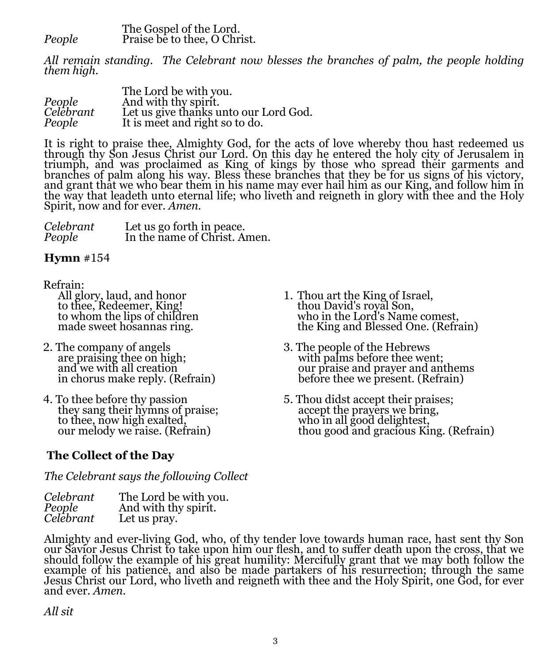The Gospel of the Lord.<br>People Praise be to thee, O Chr Praise be to thee, O Christ.

*All remain standing. The Celebrant now blesses the branches of palm, the people holding them high.*

|           | The Lord be with you.                 |
|-----------|---------------------------------------|
| People    | And with thy spirit.                  |
| Celebrant | Let us give thanks unto our Lord God. |
| People    | It is meet and right so to do.        |

It is right to praise thee, Almighty God, for the acts of love whereby thou hast redeemed us through thy Son Jesus Christ our Lord. On this day he entered the holy city of Jerusalem in triumph, and was proclaimed as King of kings by those who spread their garments and branches of palm along his way. Bless these branches that they be for us signs of his victory, and grant that we who bear them in his name may ever hail him as our King, and follow him in the way that leadeth unto eternal life; who liveth and reigneth in glory with thee and the Holy Spirit, now and for ever. *Amen.*

*Celebrant* Let us go forth in peace.<br>*People* In the name of Christ. A In the name of Christ. Amen.

# **Hymn** #154

Refrain:

All glory, laud, and honor to thee, Redeemer, King! to whom the lips of children made sweet hosannas ring.

- 2. The company of angels are praising thee on high; and we with all creation in chorus make reply. (Refrain)
- 4. To thee before thy passion they sang their hymns of praise; to thee, now high exalted, our melody we raise. (Refrain)

# **The Collect of the Day**

*The Celebrant says the following Collect*

| Celebrant | The Lord be with you. |
|-----------|-----------------------|
| People    | And with thy spirit.  |
| Celebrant | Let us pray.          |

- 1. Thou art the King of Israel, thou David's royal Son, who in the Lord's Name comest, the King and Blessed One. (Refrain)
- 3. The people of the Hebrews with palms before thee went; our praise and prayer and anthems before thee we present. (Refrain)
- 5. Thou didst accept their praises; accept the prayers we bring, who in all good delightest, thou good and gracious King. (Refrain)

Almighty and ever-living God, who, of thy tender love towards human race, hast sent thy Son our Savior Jesus Christ to take upon him our flesh, and to suffer death upon the cross, that we should follow the example of his great humility: Mercifully grant that we may both follow the example of his patience, and also be made partakers of his resurrection; through the same Jesus Christ our Lord, who liveth and reigneth with thee and the Holy Spirit, one God, for ever and ever. *Amen.*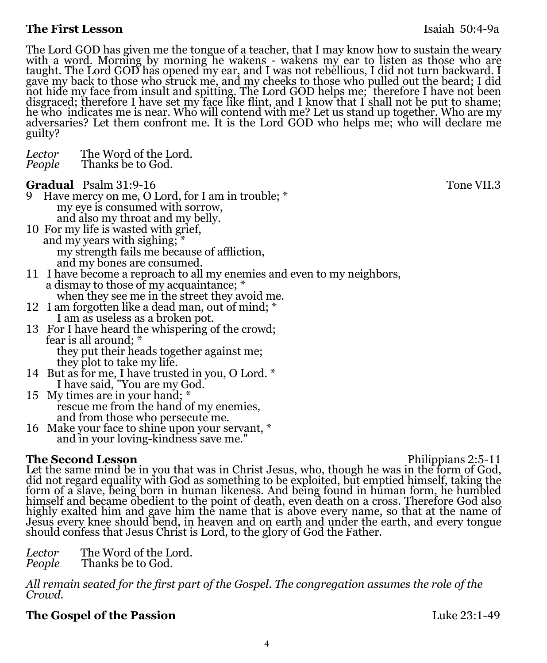# **The First Lesson** Isaiah 50:4-9a

The Lord GOD has given me the tongue of a teacher, that I may know how to sustain the weary with a word. Morning by morning he wakens - wakens my ear to listen as those who are taught. The Lord GOD has opened my ear, and I was not rebellious, I did not turn backward. I gave my back to those who struck me, and my cheeks to those who pulled out the beard; I did not hide my face from insult and spitting. The Lord GOD helps me; therefore I have not been disgraced; therefore I have set my face like flint, and I know that I shall not be put to shame; he who indicates me is near. Who will contend with me? Let us stand up together. Who are my adversaries? Let them confront me. It is the Lord GOD who helps me; who will declare me guilty?

*Lector* The Word of the Lord.<br>*People* Thanks be to God. Thanks be to God.

Gradual Psalm 31:9-16<br>9 Have mercy on me. O Lord, for I am in trouble: \* The VII.3 Have mercy on me, O Lord, for I am in trouble; \* my eye is consumed with sorrow, and also my throat and my belly.

- 10 For my life is wasted with grief, and my years with sighing; \* my strength fails me because of affliction, and my bones are consumed.
- 11 I have become a reproach to all my enemies and even to my neighbors, a dismay to those of my acquaintance; \* when they see me in the street they avoid me.
- 12 I am forgotten like a dead man, out of mind; \* I am as useless as a broken pot.
- 13 For I have heard the whispering of the crowd; fear is all around; \* they put their heads together against me; they plot to take my life.
- 14 But as for me, I have trusted in you, O Lord. \* I have said, "You are my God.
- 15 My times are in your hand; \* rescue me from the hand of my enemies, and from those who persecute me.
- 16 Make your face to shine upon your servant, \* and in your loving-kindness save me."

**The Second Lesson Philippians 2:5-11** Let the same mind be in you that was in Christ Jesus, who, though he was in the form of God, did not regard equality with God as something to be exploited, but emptied himself, taking the form of a slave, being born in human likeness. And being found in human form, he humbled himself and became obedient to the point of death, even death on a cross. Therefore God also highly exalted him and gave him the name that is above every name, so that at the name of Jesus every knee should bend, in heaven and on earth and under the earth, and every tongue should confess that Jesus Christ is Lord, to the glory of God the Father.

*Lector* The Word of the Lord.<br>*People* Thanks be to God. Thanks be to God.

*All remain seated for the first part of the Gospel. The congregation assumes the role of the Crowd.* 

### **The Gospel of the Passion Luke 23:1-49**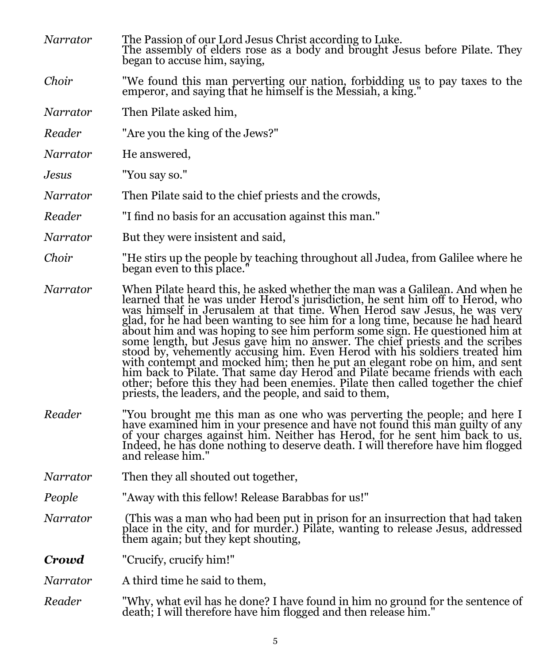| Narrator | The Passion of our Lord Jesus Christ according to Luke.<br>The assembly of elders rose as a body and brought Jesus before Pilate. They<br>began to accuse him, saying,                                                                                                                                                                                                                                                                                                                                                                                                                                                                                                                                                                                                                                                                                                            |
|----------|-----------------------------------------------------------------------------------------------------------------------------------------------------------------------------------------------------------------------------------------------------------------------------------------------------------------------------------------------------------------------------------------------------------------------------------------------------------------------------------------------------------------------------------------------------------------------------------------------------------------------------------------------------------------------------------------------------------------------------------------------------------------------------------------------------------------------------------------------------------------------------------|
| Choir    | "We found this man perverting our nation, forbidding us to pay taxes to the<br>emperor, and saying that he himself is the Messiah, a king."                                                                                                                                                                                                                                                                                                                                                                                                                                                                                                                                                                                                                                                                                                                                       |
| Narrator | Then Pilate asked him,                                                                                                                                                                                                                                                                                                                                                                                                                                                                                                                                                                                                                                                                                                                                                                                                                                                            |
| Reader   | "Are you the king of the Jews?"                                                                                                                                                                                                                                                                                                                                                                                                                                                                                                                                                                                                                                                                                                                                                                                                                                                   |
| Narrator | He answered,                                                                                                                                                                                                                                                                                                                                                                                                                                                                                                                                                                                                                                                                                                                                                                                                                                                                      |
| Jesus    | "You say so."                                                                                                                                                                                                                                                                                                                                                                                                                                                                                                                                                                                                                                                                                                                                                                                                                                                                     |
| Narrator | Then Pilate said to the chief priests and the crowds,                                                                                                                                                                                                                                                                                                                                                                                                                                                                                                                                                                                                                                                                                                                                                                                                                             |
| Reader   | "I find no basis for an accusation against this man."                                                                                                                                                                                                                                                                                                                                                                                                                                                                                                                                                                                                                                                                                                                                                                                                                             |
| Narrator | But they were insistent and said,                                                                                                                                                                                                                                                                                                                                                                                                                                                                                                                                                                                                                                                                                                                                                                                                                                                 |
| Choir    | "He stirs up the people by teaching throughout all Judea, from Galilee where he<br>began even to this place.                                                                                                                                                                                                                                                                                                                                                                                                                                                                                                                                                                                                                                                                                                                                                                      |
| Narrator | When Pilate heard this, he asked whether the man was a Galilean. And when he<br>learned that he was under Herod's jurisdiction, he sent him off to Herod, who<br>was himself in Jerusalem at that time. When Herod saw Jesus, he was very<br>glad, for he had been wanting to see him for a long time, because he had heard<br>about him and was hoping to see him perform some sign. He questioned him at<br>some length, but Jesus gave him no answer. The chief priests and the scribes stood by, vehemently accusing him. Even Herod with his soldiers treated him<br>with contempt and mocked him; then he put an elegant robe on him, and sent<br>him back to Pilate. That same day Herod and Pilate became friends with each<br>other; before this they had been enemies. Pilate then called together the chief<br>priests, the leaders, and the people, and said to them, |
| Reader   | "You brought me this man as one who was perverting the people; and here I<br>have examined him in your presence and have not found this man guilty of any<br>of your charges against him. Neither has Herod, for he sent him back to us.<br>Indeed, he has done nothing to deserve death. I will therefore have him flogged<br>and release him."                                                                                                                                                                                                                                                                                                                                                                                                                                                                                                                                  |
| Narrator | Then they all shouted out together,                                                                                                                                                                                                                                                                                                                                                                                                                                                                                                                                                                                                                                                                                                                                                                                                                                               |
| People   | "Away with this fellow! Release Barabbas for us!"                                                                                                                                                                                                                                                                                                                                                                                                                                                                                                                                                                                                                                                                                                                                                                                                                                 |
| Narrator | (This was a man who had been put in prison for an insurrection that had taken place in the city, and for murder.) Pilate, wanting to release Jesus, addressed<br>them again; but they kept shouting,                                                                                                                                                                                                                                                                                                                                                                                                                                                                                                                                                                                                                                                                              |
| Crowd    | "Crucify, crucify him!"                                                                                                                                                                                                                                                                                                                                                                                                                                                                                                                                                                                                                                                                                                                                                                                                                                                           |
| Narrator | A third time he said to them,                                                                                                                                                                                                                                                                                                                                                                                                                                                                                                                                                                                                                                                                                                                                                                                                                                                     |
| Reader   | "Why, what evil has he done? I have found in him no ground for the sentence of<br>death; I will therefore have him flogged and then release him."                                                                                                                                                                                                                                                                                                                                                                                                                                                                                                                                                                                                                                                                                                                                 |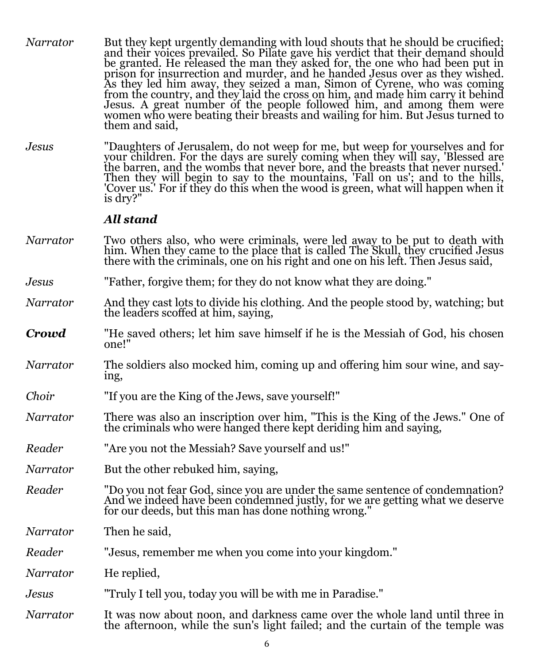| Narrator | But they kept urgently demanding with loud shouts that he should be crucified;  |
|----------|---------------------------------------------------------------------------------|
|          | and their voices prevailed. So Pilate gave his verdict that their demand should |
|          | be granted. He released the man they asked for, the one who had been put in     |
|          | prison for insurrection and murder, and he handed Jesus over as they wished.    |
|          | As they led him away, they seized a man, Simon of Cyrene, who was coming        |
|          | from the country, and they laid the cross on him, and made him carry it behind  |
|          | Jesus. A great number of the people followed him, and among them were           |
|          | women who were beating their breasts and wailing for him. But Jesus turned to   |
|          | them and said.                                                                  |

*Jesus* "Daughters of Jerusalem, do not weep for me, but weep for yourselves and for your children. For the days are surely coming when they will say, 'Blessed are the barren, and the wombs that never bore, and the breasts that never nursed.' Then they will begin to say to the mountains, 'Fall on us'; and to the hills, 'Cover us.' For if they do this when the wood is green, what will happen when it is dry?"

#### *All stand*

- *Narrator* Two others also, who were criminals, were led away to be put to death with him. When they came to the place that is called The Skull, they crucified Jesus there with the criminals, one on his right and one on his left. Then Jesus said,
- *Jesus* "Father, forgive them; for they do not know what they are doing."
- *Narrator* And they cast lots to divide his clothing. And the people stood by, watching; but the leaders scoffed at him, saying,
- *Crowd* "He saved others; let him save himself if he is the Messiah of God, his chosen one!"
- *Narrator* The soldiers also mocked him, coming up and offering him sour wine, and saying,
- *Choir* "If you are the King of the Jews, save yourself!"
- *Narrator* There was also an inscription over him, "This is the King of the Jews." One of the criminals who were hanged there kept deriding him and saying,
- *Reader* "Are you not the Messiah? Save yourself and us!"
- *Narrator* But the other rebuked him, saying,
- *Reader* "Do you not fear God, since you are under the same sentence of condemnation? And we indeed have been condemned justly, for we are getting what we deserve for our deeds, but this man has done nothing wrong."
- *Narrator* Then he said,
- *Reader* "Jesus, remember me when you come into your kingdom."
- *Narrator* He replied,
- *Jesus* "Truly I tell you, today you will be with me in Paradise."
- *Narrator* It was now about noon, and darkness came over the whole land until three in the afternoon, while the sun's light failed; and the curtain of the temple was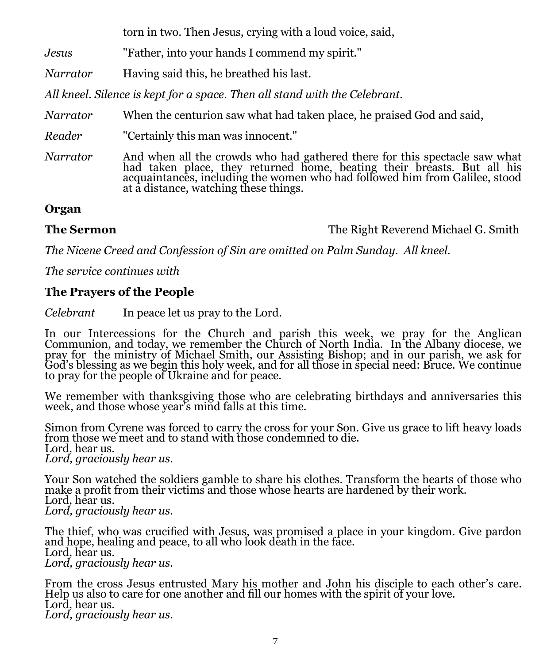torn in two. Then Jesus, crying with a loud voice, said,

*Jesus* "Father, into your hands I commend my spirit."

*Narrator* Having said this, he breathed his last.

*All kneel. Silence is kept for a space. Then all stand with the Celebrant.*

*Narrator* When the centurion saw what had taken place, he praised God and said,

*Reader* "Certainly this man was innocent."

*Narrator* And when all the crowds who had gathered there for this spectacle saw what had taken place, they returned home, beating their breasts. But all his acquaintances, including the women who had followed him from Galilee, stood at a distance, watching these things.

# **Organ**

**The Sermon** The Right Reverend Michael G. Smith

*The Nicene Creed and Confession of Sin are omitted on Palm Sunday. All kneel.* 

*The service continues with* 

# **The Prayers of the People**

*Celebrant* In peace let us pray to the Lord.

In our Intercessions for the Church and parish this week, we pray for the Anglican Communion, and today, we remember the Church of North India. In the Albany diocese, we pray for the ministry of Michael Smith, our Assisting Bishop; and in our parish, we ask for God's blessing as we begin this holy week, and for all those in special need: Bruce. We continue to pray for the people of Ukraine and for peace.

We remember with thanksgiving those who are celebrating birthdays and anniversaries this week, and those whose year's mind falls at this time.

Simon from Cyrene was forced to carry the cross for your Son. Give us grace to lift heavy loads from those we meet and to stand with those condemned to die. Lord, hear us. *Lord, graciously hear us.*

Your Son watched the soldiers gamble to share his clothes. Transform the hearts of those who make a profit from their victims and those whose hearts are hardened by their work. Lord, hear us. *Lord, graciously hear us.*

The thief, who was crucified with Jesus, was promised a place in your kingdom. Give pardon and hope, healing and peace, to all who look death in the face. Lord, hear us. *Lord, graciously hear us.*

From the cross Jesus entrusted Mary his mother and John his disciple to each other's care. Help us also to care for one another and fill our homes with the spirit of your love. Lord, hear us. *Lord, graciously hear us.*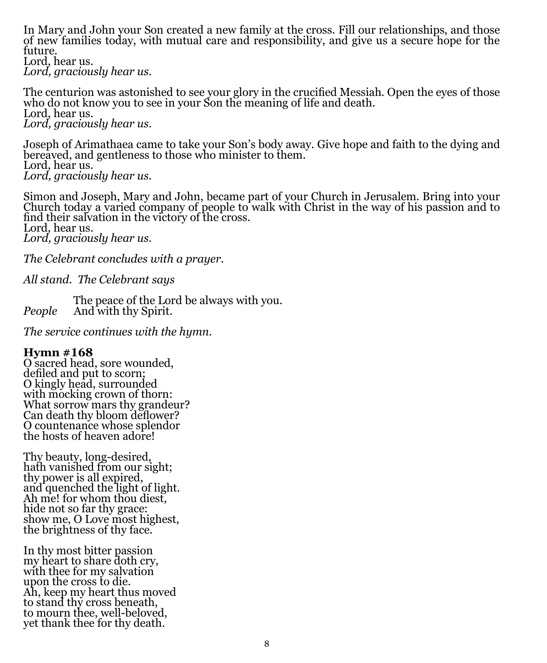In Mary and John your Son created a new family at the cross. Fill our relationships, and those of new families today, with mutual care and responsibility, and give us a secure hope for the future. Lord, hear us.

*Lord, graciously hear us.*

The centurion was astonished to see your glory in the crucified Messiah. Open the eyes of those who do not know you to see in your Son the meaning of life and death. Lord, hear us. *Lord, graciously hear us.*

Joseph of Arimathaea came to take your Son's body away. Give hope and faith to the dying and bereaved, and gentleness to those who minister to them. Lord, hear us. *Lord, graciously hear us.*

Simon and Joseph, Mary and John, became part of your Church in Jerusalem. Bring into your Church today a varied company of people to walk with Christ in the way of his passion and to find their salvation in the victory of the cross. Lord, hear us. *Lord, graciously hear us.*

*The Celebrant concludes with a prayer.*

*All stand. The Celebrant says*

 The peace of the Lord be always with you. *People* And with thy Spirit.

*The service continues with the hymn.*

# **Hymn #168**

O sacred head, sore wounded, defiled and put to scorn; O kingly head, surrounded with mocking crown of thorn: What sorrow mars thy grandeur? Can death thy bloom deflower? O countenance whose splendor the hosts of heaven adore!

Thy beauty, long-desired, hath vanished from our sight; thy power is all expired, and quenched the light of light. Ah me! for whom thou diest, hide not so far thy grace: show me, O Love most highest, the brightness of thy face.

In thy most bitter passion my heart to share doth cry, with thee for my salvation upon the cross to die. Ah, keep my heart thus moved to stand thy cross beneath, to mourn thee, well-beloved, yet thank thee for thy death.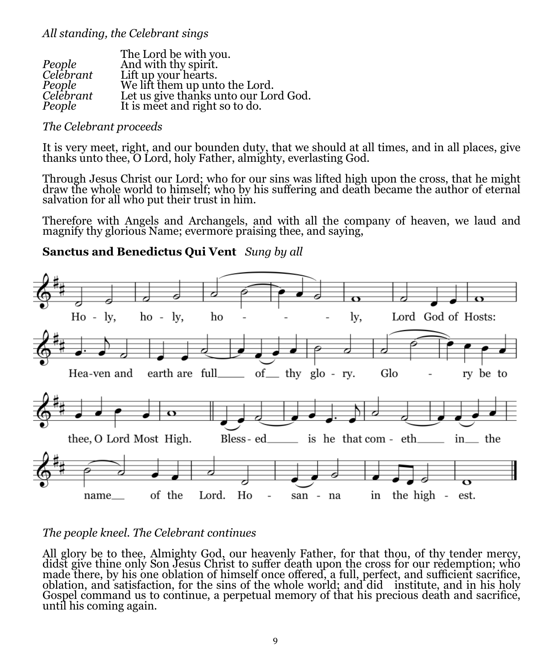### *All standing, the Celebrant sings*

|           | The Lord be with you.                 |
|-----------|---------------------------------------|
| People    | And with thy spirit.                  |
| Celebrant | Lift up your hearts.                  |
| People    | We lift them up unto the Lord.        |
| Celebrant | Let us give thanks unto our Lord God. |
| People    | It is meet and right so to do.        |

# *The Celebrant proceeds*

It is very meet, right, and our bounden duty, that we should at all times, and in all places, give thanks unto thee, O Lord, holy Father, almighty, everlasting God.

Through Jesus Christ our Lord; who for our sins was lifted high upon the cross, that he might draw the whole world to himself; who by his suffering and death became the author of eternal salvation for all who put their trust in him.

Therefore with Angels and Archangels, and with all the company of heaven, we laud and magnify thy glorious Name; evermore praising thee, and saying,

# **Sanctus and Benedictus Qui Vent** *Sung by all*



# *The people kneel. The Celebrant continues*

All glory be to thee, Almighty God, our heavenly Father, for that thou, of thy tender mercy, didst give thine only Son Jesus Christ to suffer death upon the cross for our redemption; who made there, by his one oblation of himself once offered, a full, perfect, and sufficient sacrifice, oblation, and satisfaction, for the sins of the whole world; and did institute, and in his holy Gospel command us to continue, a perpetual memory of that his precious death and sacrifice, until his coming again.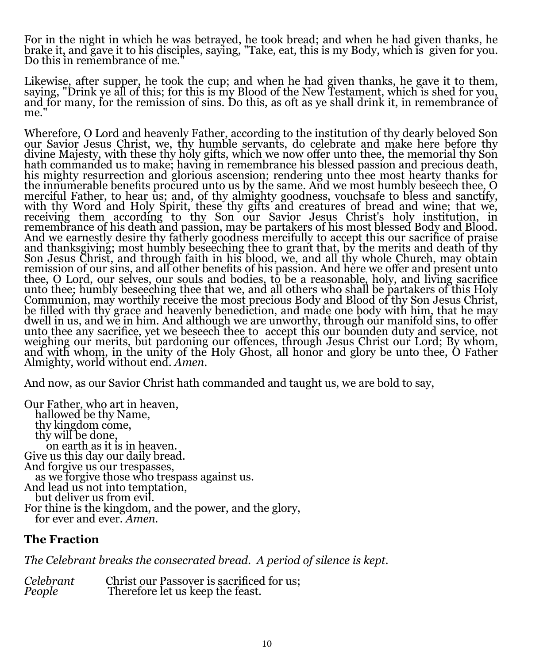For in the night in which he was betrayed, he took bread; and when he had given thanks, he brake it, and gave it to his disciples, saying, "Take, eat, this is my Body, which is given for you. Do this in remembrance of me.

Likewise, after supper, he took the cup; and when he had given thanks, he gave it to them, saying, "Drink ye all of this; for this is my Blood of the New Testament, which is shed for you, and for many, for the remission of sins. Do this, as oft as ye shall drink it, in remembrance of me."

Wherefore, O Lord and heavenly Father, according to the institution of thy dearly beloved Son our Savior Jesus Christ, we, thy humble servants, do celebrate and make here before thy divine Majesty, with these thy holy gifts, which we now offer unto thee, the memorial thy Son hath commanded us to make; having in remembrance his blessed passion and precious death, his mighty resurrection and glorious ascension; rendering unto thee most hearty thanks for the innumerable benefits procured unto us by the same. And we most humbly beseech thee, O merciful Father, to hear us; and, of thy almighty goodness, vouchsafe to bless and sanctify, with thy Word and Holy Spirit, these thy gifts and creatures of bread and wine; that we, receiving them according to thy Son our Savior Jesus Christ's holy institution, in remembrance of his death and passion, may be partakers of his most blessed Body and Blood. And we earnestly desire thy fatherly goodness mercifully to accept this our sacrifice of praise and thanksgiving; most humbly beseeching thee to grant that, by the merits and death of thy Son Jesus Christ, and through faith in his blood, we, and all thy whole Church, may obtain remission of our sins, and all other benefits of his passion. And here we offer and present unto thee, O Lord, our selves, our souls and bodies, to be a reasonable, holy, and living sacrifice unto thee; humbly beseeching thee that we, and all others who shall be partakers of this Holy Communion, may worthily receive the most precious Body and Blood of thy Son Jesus Christ, be filled with thy grace and heavenly benediction, and made one body with him, that he may dwell in us, and we in him. And although we are unworthy, through our manifold sins, to offer unto thee any sacrifice, yet we beseech thee to accept this our bounden duty and service, not weighing our merits, but pardoning our offences, through Jesus Christ our Lord; By whom, and with whom, in the unity of the Holy Ghost, all honor and glory be unto thee, O Father Almighty, world without end. *Amen*.

And now, as our Savior Christ hath commanded and taught us, we are bold to say,

Our Father, who art in heaven, hallowed be thy Name, thy kingdom come, thy will be done, on earth as it is in heaven. Give us this day our daily bread. And forgive us our trespasses, as we forgive those who trespass against us. And lead us not into temptation, but deliver us from evil. For thine is the kingdom, and the power, and the glory, for ever and ever. *Amen.*

### **The Fraction**

*The Celebrant breaks the consecrated bread. A period of silence is kept.* 

| Celebrant | Christ our Passover is sacrificed for us; |
|-----------|-------------------------------------------|
| People    | Therefore let us keep the feast.          |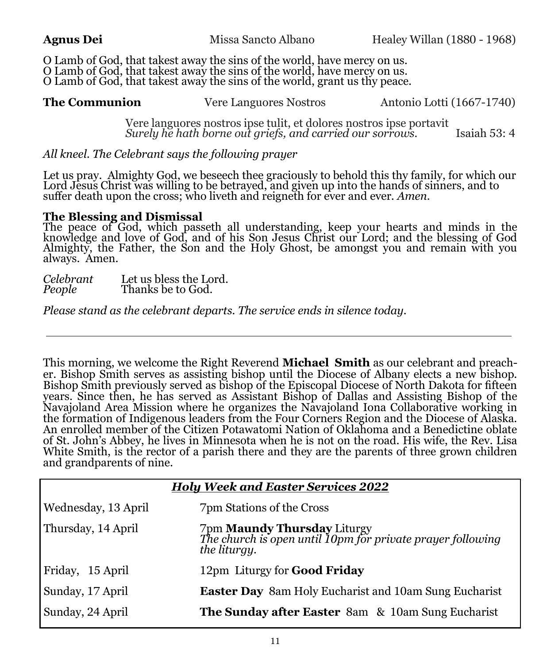O Lamb of God, that takest away the sins of the world, have mercy on us.

O Lamb of God, that takest away the sins of the world, have mercy on us.

O Lamb of God, that takest away the sins of the world, grant us thy peace.

# **The Communion Vere Languores Nostros** Antonio Lotti (1667-1740)

Vere languores nostros ipse tulit, et dolores nostros ipse portavit *Surely he hath borne out griefs, and carried our sorrows.* Isaiah 53: 4

*All kneel. The Celebrant says the following prayer*

Let us pray. Almighty God, we beseech thee graciously to behold this thy family, for which our Lord Jesus Christ was willing to be betrayed, and given up into the hands of sinners, and to suffer death upon the cross; who liveth and reigneth for ever and ever. *Amen.*

# **The Blessing and Dismissal**

The peace of God, which passeth all understanding, keep your hearts and minds in the knowledge and love of God, and of his Son Jesus Christ our Lord; and the blessing of God Almighty, the Father, the Son and the Holy Ghost, be amongst you and remain with you always. Amen.

*Celebrant* Let us bless the Lord. **Thanks be to God.** 

*Please stand as the celebrant departs. The service ends in silence today.*

This morning, we welcome the Right Reverend **Michael Smith** as our celebrant and preacher. Bishop Smith serves as assisting bishop until the Diocese of Albany elects a new bishop. Bishop Smith previously served as bishop of the Episcopal Diocese of North Dakota for fifteen years. Since then, he has served as Assistant Bishop of Dallas and Assisting Bishop of the Navajoland Area Mission where he organizes the Navajoland Iona Collaborative working in the formation of Indigenous leaders from the Four Corners Region and the Diocese of Alaska. An enrolled member of the Citizen Potawatomi Nation of Oklahoma and a Benedictine oblate of St. John's Abbey, he lives in Minnesota when he is not on the road. His wife, the Rev. Lisa White Smith, is the rector of a parish there and they are the parents of three grown children and grandparents of nine.

| <b>Holy Week and Easter Services 2022</b> |                                                                                                           |  |
|-------------------------------------------|-----------------------------------------------------------------------------------------------------------|--|
| Wednesday, 13 April                       | 7pm Stations of the Cross                                                                                 |  |
| Thursday, 14 April                        | 7pm Maundy Thursday Liturgy<br>The church is open until 10pm for private prayer following<br>the liturgy. |  |
| Friday, 15 April                          | 12pm Liturgy for Good Friday                                                                              |  |
| Sunday, 17 April                          | <b>Easter Day</b> 8am Holy Eucharist and 10am Sung Eucharist                                              |  |
| Sunday, 24 April                          | <b>The Sunday after Easter</b> 8am & 10am Sung Eucharist                                                  |  |